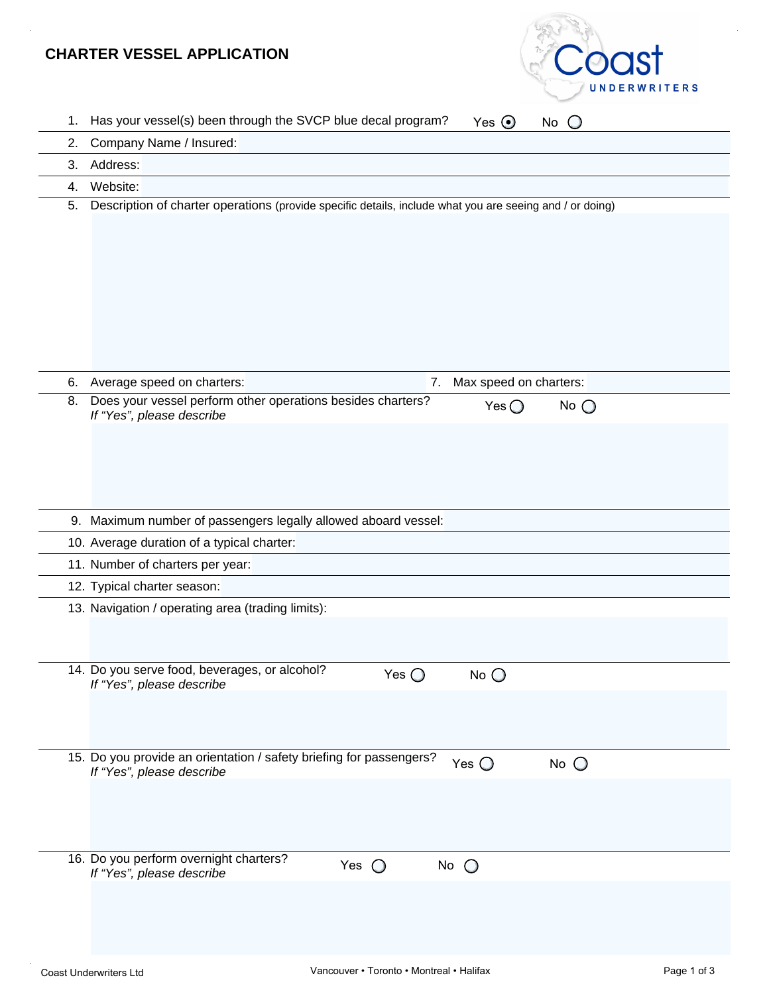# **CHARTER VESSEL APPLICATION**



| 1. | Has your vessel(s) been through the SVCP blue decal program?<br>Yes $\odot$<br>No                                              |
|----|--------------------------------------------------------------------------------------------------------------------------------|
| 2. | Company Name / Insured:                                                                                                        |
| 3. | Address:                                                                                                                       |
| 4. | Website:                                                                                                                       |
| 5. | Description of charter operations (provide specific details, include what you are seeing and / or doing)                       |
| 6. | Max speed on charters:<br>Average speed on charters:<br>7.                                                                     |
| 8. | Does your vessel perform other operations besides charters?<br>Yes $\bigcirc$<br>No $\bigcirc$<br>If "Yes", please describe    |
|    | 9. Maximum number of passengers legally allowed aboard vessel:                                                                 |
|    | 10. Average duration of a typical charter:                                                                                     |
|    | 11. Number of charters per year:                                                                                               |
|    | 12. Typical charter season:                                                                                                    |
|    | 13. Navigation / operating area (trading limits):                                                                              |
|    | 14. Do you serve food, beverages, or alcohol?<br>Yes $\bigcirc$<br>$No$ $O$<br>If "Yes", please describe                       |
|    | 15. Do you provide an orientation / safety briefing for passengers?<br>Yes $\bigcirc$<br>$No$ $O$<br>If "Yes", please describe |
|    | 16. Do you perform overnight charters?<br>Yes $\bigcirc$<br>No $\bigcirc$                                                      |
|    | If "Yes", please describe                                                                                                      |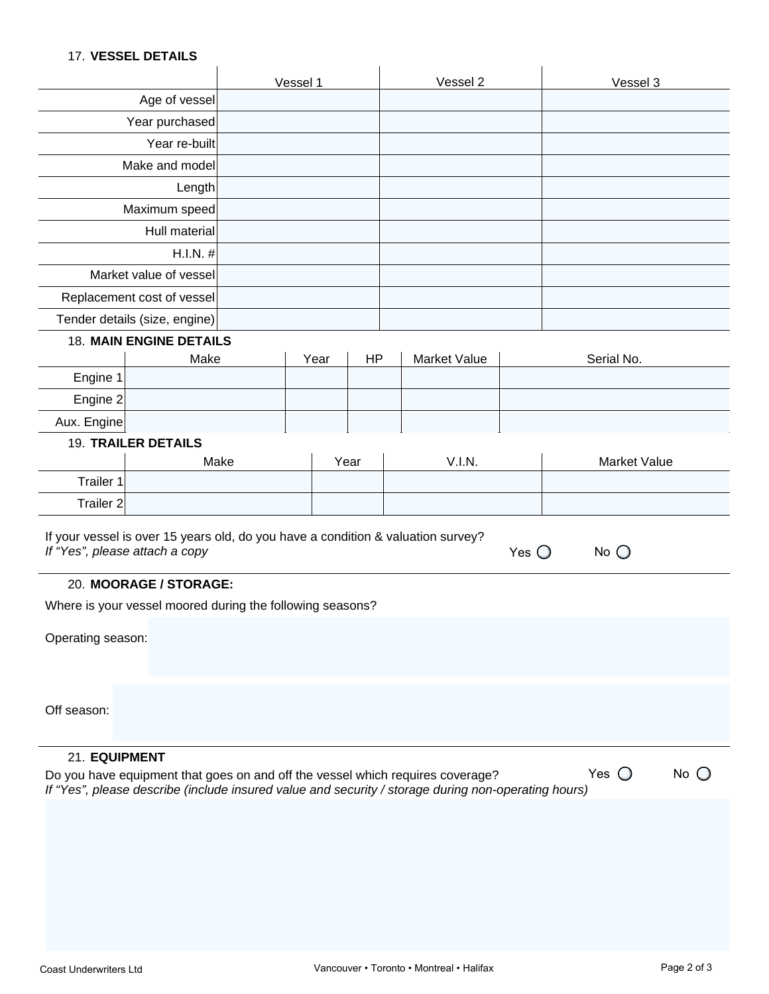### 17. **VESSEL DETAILS**

|                                                                                                              | <b><i>II. VESSEL DETAILS</i></b>                                                 |  |          |           |  |                     |                |                     |  |
|--------------------------------------------------------------------------------------------------------------|----------------------------------------------------------------------------------|--|----------|-----------|--|---------------------|----------------|---------------------|--|
|                                                                                                              |                                                                                  |  | Vessel 1 |           |  | Vessel 2            |                | Vessel 3            |  |
|                                                                                                              | Age of vessel                                                                    |  |          |           |  |                     |                |                     |  |
| Year purchased                                                                                               |                                                                                  |  |          |           |  |                     |                |                     |  |
| Year re-built                                                                                                |                                                                                  |  |          |           |  |                     |                |                     |  |
|                                                                                                              | Make and model                                                                   |  |          |           |  |                     |                |                     |  |
|                                                                                                              | Length                                                                           |  |          |           |  |                     |                |                     |  |
|                                                                                                              | Maximum speed                                                                    |  |          |           |  |                     |                |                     |  |
|                                                                                                              | Hull material                                                                    |  |          |           |  |                     |                |                     |  |
|                                                                                                              | $H.I.N.$ #                                                                       |  |          |           |  |                     |                |                     |  |
|                                                                                                              | Market value of vessel                                                           |  |          |           |  |                     |                |                     |  |
|                                                                                                              | Replacement cost of vessel                                                       |  |          |           |  |                     |                |                     |  |
|                                                                                                              | Tender details (size, engine)                                                    |  |          |           |  |                     |                |                     |  |
|                                                                                                              | <b>18. MAIN ENGINE DETAILS</b>                                                   |  |          |           |  |                     |                |                     |  |
|                                                                                                              | Make                                                                             |  | Year     | <b>HP</b> |  | <b>Market Value</b> |                | Serial No.          |  |
| Engine 1                                                                                                     |                                                                                  |  |          |           |  |                     |                |                     |  |
| Engine 2                                                                                                     |                                                                                  |  |          |           |  |                     |                |                     |  |
| Aux. Engine                                                                                                  |                                                                                  |  |          |           |  |                     |                |                     |  |
|                                                                                                              | <b>19. TRAILER DETAILS</b>                                                       |  |          |           |  |                     |                |                     |  |
| Trailer 1                                                                                                    | Make                                                                             |  |          | Year      |  | V.I.N.              |                | <b>Market Value</b> |  |
| Trailer <sub>2</sub>                                                                                         |                                                                                  |  |          |           |  |                     |                |                     |  |
|                                                                                                              |                                                                                  |  |          |           |  |                     |                |                     |  |
|                                                                                                              | If your vessel is over 15 years old, do you have a condition & valuation survey? |  |          |           |  |                     |                |                     |  |
|                                                                                                              | If "Yes", please attach a copy                                                   |  |          |           |  |                     | Yes $\bigcirc$ | No $\bigcirc$       |  |
|                                                                                                              | 20. MOORAGE / STORAGE:                                                           |  |          |           |  |                     |                |                     |  |
|                                                                                                              | Where is your vessel moored during the following seasons?                        |  |          |           |  |                     |                |                     |  |
|                                                                                                              |                                                                                  |  |          |           |  |                     |                |                     |  |
| Operating season:                                                                                            |                                                                                  |  |          |           |  |                     |                |                     |  |
|                                                                                                              |                                                                                  |  |          |           |  |                     |                |                     |  |
|                                                                                                              |                                                                                  |  |          |           |  |                     |                |                     |  |
| Off season:                                                                                                  |                                                                                  |  |          |           |  |                     |                |                     |  |
|                                                                                                              |                                                                                  |  |          |           |  |                     |                |                     |  |
| 21. EQUIPMENT                                                                                                |                                                                                  |  |          |           |  |                     |                |                     |  |
| $No$ $O$<br>Yes $\bigcirc$<br>Do you have equipment that goes on and off the vessel which requires coverage? |                                                                                  |  |          |           |  |                     |                |                     |  |
| If "Yes", please describe (include insured value and security / storage during non-operating hours)          |                                                                                  |  |          |           |  |                     |                |                     |  |
|                                                                                                              |                                                                                  |  |          |           |  |                     |                |                     |  |
|                                                                                                              |                                                                                  |  |          |           |  |                     |                |                     |  |
|                                                                                                              |                                                                                  |  |          |           |  |                     |                |                     |  |
|                                                                                                              |                                                                                  |  |          |           |  |                     |                |                     |  |
|                                                                                                              |                                                                                  |  |          |           |  |                     |                |                     |  |
|                                                                                                              |                                                                                  |  |          |           |  |                     |                |                     |  |